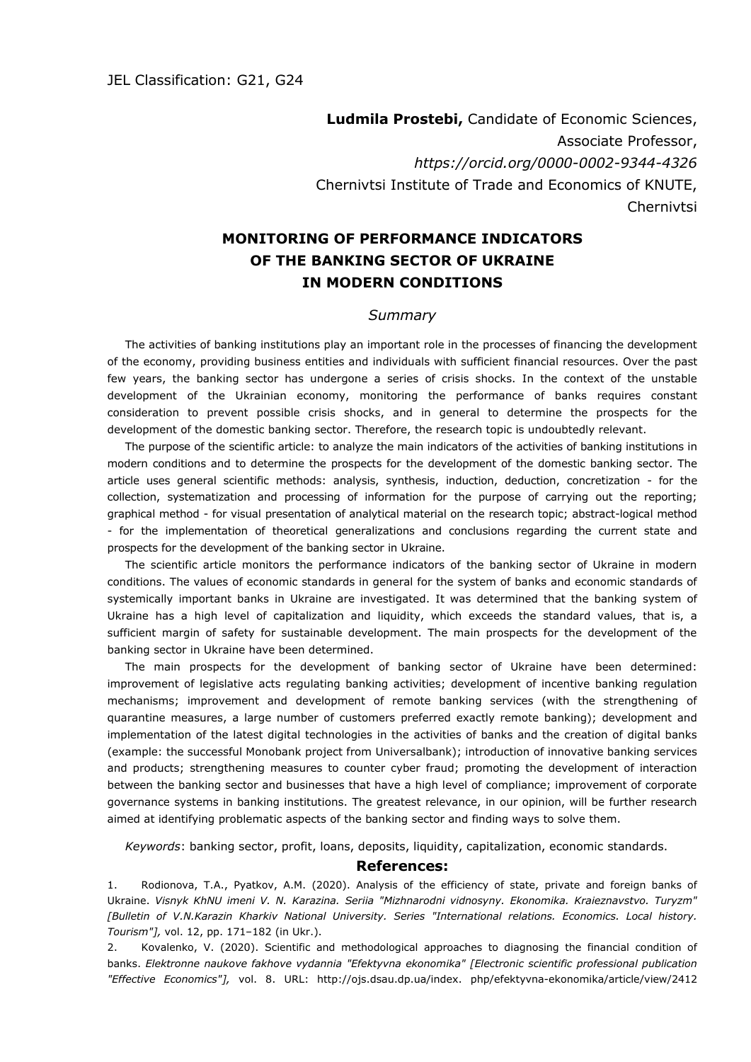**Ludmila Prostebi,** Candidate of Economic Sciences, Associate Professor, *https://orcid.org/0000-0002-9344-4326* Chernivtsi Institute of Trade and Economics of KNUTE, **Chernivtsi** 

## **MONITORING OF PERFORMANCE INDICATORS OF THE BANKING SECTOR OF UKRAINE IN MODERN CONDITIONS**

## *Summary*

The activities of banking institutions play an important role in the processes of financing the development of the economy, providing business entities and individuals with sufficient financial resources. Over the past few years, the banking sector has undergone a series of crisis shocks. In the context of the unstable development of the Ukrainian economy, monitoring the performance of banks requires constant consideration to prevent possible crisis shocks, and in general to determine the prospects for the development of the domestic banking sector. Therefore, the research topic is undoubtedly relevant.

The purpose of the scientific article: to analyze the main indicators of the activities of banking institutions in modern conditions and to determine the prospects for the development of the domestic banking sector. The article uses general scientific methods: analysis, synthesis, induction, deduction, concretization - for the collection, systematization and processing of information for the purpose of carrying out the reporting; graphical method - for visual presentation of analytical material on the research topic; abstract-logical method - for the implementation of theoretical generalizations and conclusions regarding the current state and prospects for the development of the banking sector in Ukraine.

The scientific article monitors the performance indicators of the banking sector of Ukraine in modern conditions. The values of economic standards in general for the system of banks and economic standards of systemically important banks in Ukraine are investigated. It was determined that the banking system of Ukraine has a high level of capitalization and liquidity, which exceeds the standard values, that is, a sufficient margin of safety for sustainable development. The main prospects for the development of the banking sector in Ukraine have been determined.

The main prospects for the development of banking sector of Ukraine have been determined: improvement of legislative acts regulating banking activities; development of incentive banking regulation mechanisms; improvement and development of remote banking services (with the strengthening of quarantine measures, a large number of customers preferred exactly remote banking); development and implementation of the latest digital technologies in the activities of banks and the creation of digital banks (example: the successful Monobank project from Universalbank); introduction of innovative banking services and products; strengthening measures to counter cyber fraud; promoting the development of interaction between the banking sector and businesses that have a high level of compliance; improvement of corporate governance systems in banking institutions. The greatest relevance, in our opinion, will be further research aimed at identifying problematic aspects of the banking sector and finding ways to solve them.

*Keywords*: banking sector, profit, loans, deposits, liquidity, capitalization, economic standards.

## **References:**

1. Rodionova, T.A., Pyatkov, A.M. (2020). Analysis of the efficiency of state, private and foreign banks of Ukraine. *Visnyk KhNU imeni V. N. Karazina. Seriia "Mizhnarodni vidnosyny. Ekonomika. Kraieznavstvo. Turyzm" [Bulletin of V.N.Karazin Kharkiv National University. Series "International relations. Economics. Local history. Tourism"],* vol. 12, pp. 171–182 (in Ukr.).

2. Kovalenko, V. (2020). Scientific and methodological approaches to diagnosing the financial condition of banks. *Elektronne naukove fakhove vydannia "Efektyvna ekonomika" [Electronic scientific professional publication "Effective Economics"],* vol. 8. URL: http://ojs.dsau.dp.ua/index. php/efektyvna-ekonomika/article/view/2412